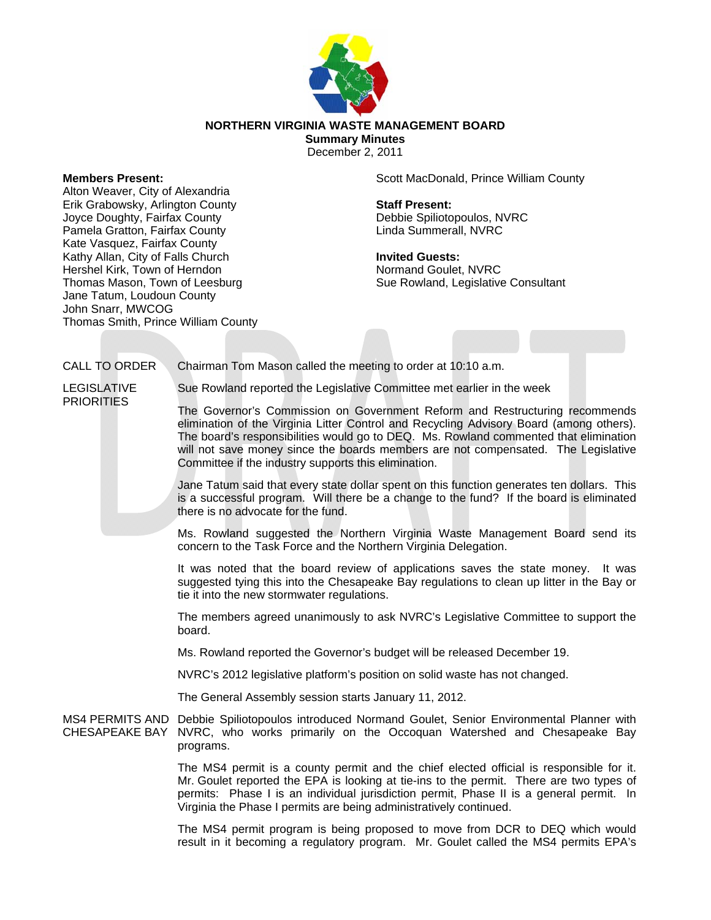

## **NORTHERN VIRGINIA WASTE MANAGEMENT BOARD**

**Summary Minutes**  December 2, 2011

## **Members Present:**

Alton Weaver, City of Alexandria Erik Grabowsky, Arlington County Joyce Doughty, Fairfax County Pamela Gratton, Fairfax County Kate Vasquez, Fairfax County Kathy Allan, City of Falls Church Hershel Kirk, Town of Herndon Thomas Mason, Town of Leesburg Jane Tatum, Loudoun County John Snarr, MWCOG Thomas Smith, Prince William County Scott MacDonald, Prince William County

**Staff Present:**  Debbie Spiliotopoulos, NVRC Linda Summerall, NVRC

**Invited Guests:**  Normand Goulet, NVRC Sue Rowland, Legislative Consultant

## CALL TO ORDER Chairman Tom Mason called the meeting to order at 10:10 a.m. LEGISLATIVE

**PRIORITIES** 

Sue Rowland reported the Legislative Committee met earlier in the week

The Governor's Commission on Government Reform and Restructuring recommends elimination of the Virginia Litter Control and Recycling Advisory Board (among others). The board's responsibilities would go to DEQ. Ms. Rowland commented that elimination will not save money since the boards members are not compensated. The Legislative Committee if the industry supports this elimination.

Jane Tatum said that every state dollar spent on this function generates ten dollars. This is a successful program. Will there be a change to the fund? If the board is eliminated there is no advocate for the fund.

Ms. Rowland suggested the Northern Virginia Waste Management Board send its concern to the Task Force and the Northern Virginia Delegation.

It was noted that the board review of applications saves the state money. It was suggested tying this into the Chesapeake Bay regulations to clean up litter in the Bay or tie it into the new stormwater regulations.

The members agreed unanimously to ask NVRC's Legislative Committee to support the board.

Ms. Rowland reported the Governor's budget will be released December 19.

NVRC's 2012 legislative platform's position on solid waste has not changed.

The General Assembly session starts January 11, 2012.

MS4 PERMITS AND Debbie Spiliotopoulos introduced Normand Goulet, Senior Environmental Planner with CHESAPEAKE BAY NVRC, who works primarily on the Occoquan Watershed and Chesapeake Bay programs.

> The MS4 permit is a county permit and the chief elected official is responsible for it. Mr. Goulet reported the EPA is looking at tie-ins to the permit. There are two types of permits: Phase I is an individual jurisdiction permit, Phase II is a general permit. In Virginia the Phase I permits are being administratively continued.

> The MS4 permit program is being proposed to move from DCR to DEQ which would result in it becoming a regulatory program. Mr. Goulet called the MS4 permits EPA's